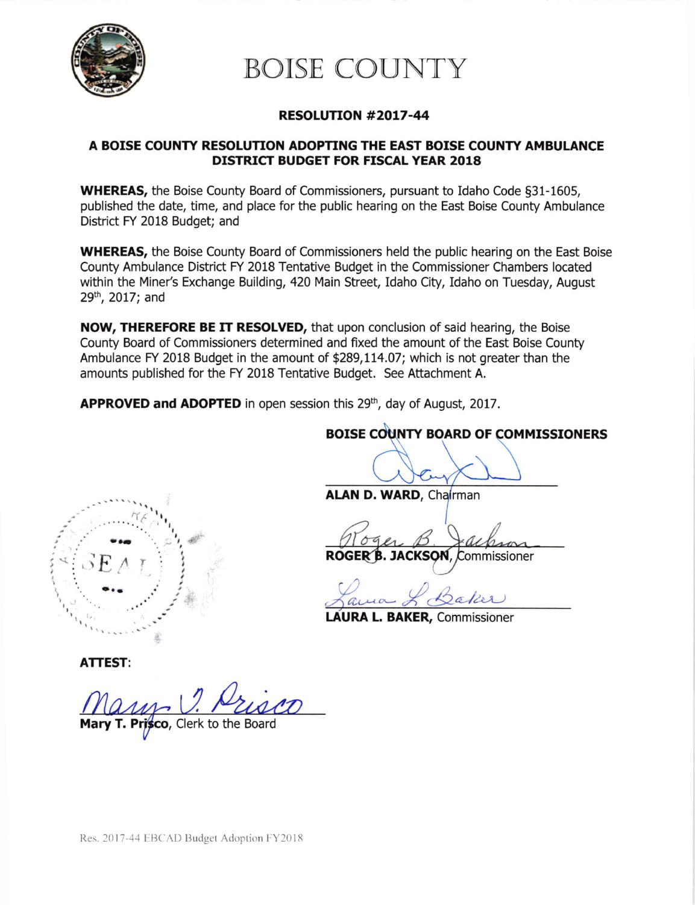

# BOISE COUNTY

## RESOLUTION #2OL7-44

### A BOISE COUNTY RESOLUTION ADOPTING THE EAST BOISE COUNTY AMBULANCE DISTRICT BUDGET FOR FISCAL YEAR 2018

WHEREAS, the Boise County Board of Commissioners, pursuant to Idaho Code §31-1605, published the date, time, and place for the public hearing on the East Boise County Ambulance District FY 2018 Budget; and

WHEREAS, the Boise County Board of Commissioners held the public hearing on the East Boise County Ambulance District FY 2018 Tentative Budget in the Commissioner Chambers located within the Miner's Exchange Building,420 Main Street, Idaho City, Idaho on Tuesday, August 29<sup>th</sup>, 2017; and

NOW, THEREFORE BE IT RESOLVED, that upon conclusion of said hearing, the Boise County Board of Commissioners determined and fixed the amount of the East Boise County Ambulance FY 2018 Budget in the amount of \$289,114.07; which is not greater than the amounts published for the FY 2018 Tentative Budget. See Attachment A.

APPROVED and ADOPTED in open session this 29<sup>th</sup>, day of August, 2017.

# BOISE COUNTY BOARD OF COMMISSIONERS

 $H_{\ell}$  $\ldots$ . $\frac{1}{2}$ I  $\leq$   $SE$ 

ALAN D. WARD, Chairman

Roger B Jac

ROGER B. JACKSON, Commissioner

ama L Baker

AURA L. BAKER, Commissioner

ATTEST:

Clerk to the Board